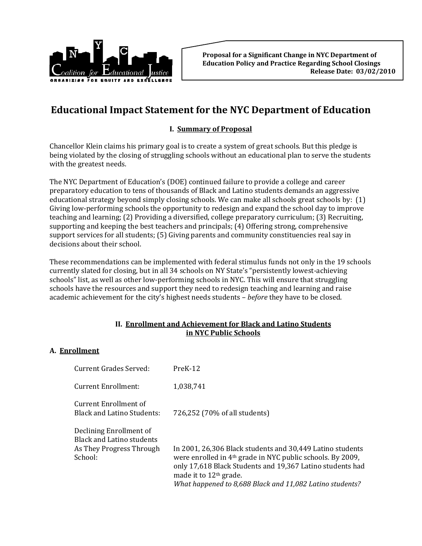

# **Educational Impact Statement for the NYC Department of Education**

## **I. Summary of Proposal**

Chancellor Klein claims his primary goal is to create a system of great schools. But this pledge is being violated by the closing of struggling schools without an educational plan to serve the students with the greatest needs.

The NYC Department of Education's (DOE) continued failure to provide a college and career preparatory education to tens of thousands of Black and Latino students demands an aggressive educational strategy beyond simply closing schools. We can make all schools great schools by: (1) Giving low‐performing schools the opportunity to redesign and expand the school day to improve teaching and learning; (2) Providing a diversified, college preparatory curriculum; (3) Recruiting, supporting and keeping the best teachers and principals; (4) Offering strong, comprehensive support services for all students; (5) Giving parents and community constituencies real say in decisions about their school.

These recommendations can be implemented with federal stimulus funds not only in the 19 schools currently slated for closing, but in all 34 schools on NY State's "persistently lowest-achieving schools" list, as well as other low-performing schools in NYC. This will ensure that struggling schools have the resources and support they need to redesign teaching and learning and raise academic achievement for the city's highest needs students – *before* they have to be closed.

### **II. Enrollment and Achievement for Black and Latino Students in NYC Public Schools**

### **A. Enrollment**

| Current Grades Served:                                                                             | $PreK-12$                                                                                                                                                                                                                                                                                          |
|----------------------------------------------------------------------------------------------------|----------------------------------------------------------------------------------------------------------------------------------------------------------------------------------------------------------------------------------------------------------------------------------------------------|
| Current Enrollment:                                                                                | 1,038,741                                                                                                                                                                                                                                                                                          |
| Current Enrollment of<br><b>Black and Latino Students:</b>                                         | 726,252 (70% of all students)                                                                                                                                                                                                                                                                      |
| Declining Enrollment of<br><b>Black and Latino students</b><br>As They Progress Through<br>School: | In 2001, 26,306 Black students and 30,449 Latino students<br>were enrolled in 4 <sup>th</sup> grade in NYC public schools. By 2009,<br>only 17,618 Black Students and 19,367 Latino students had<br>made it to 12 <sup>th</sup> grade.<br>What happened to 8,688 Black and 11,082 Latino students? |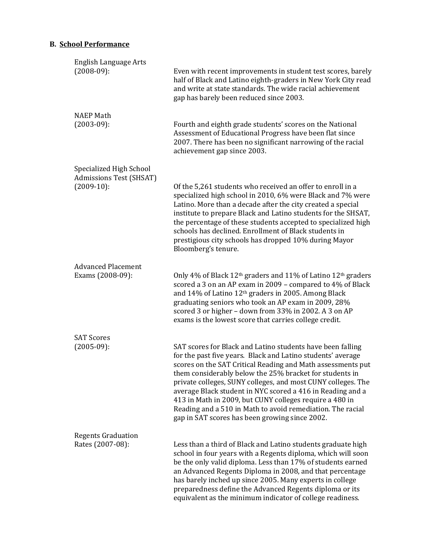# **B. School Performance**

| <b>English Language Arts</b><br>$(2008-09)$ :                       | Even with recent improvements in student test scores, barely<br>half of Black and Latino eighth-graders in New York City read<br>and write at state standards. The wide racial achievement<br>gap has barely been reduced since 2003.                                                                                                                                                                                                                                                                                                                        |
|---------------------------------------------------------------------|--------------------------------------------------------------------------------------------------------------------------------------------------------------------------------------------------------------------------------------------------------------------------------------------------------------------------------------------------------------------------------------------------------------------------------------------------------------------------------------------------------------------------------------------------------------|
| <b>NAEP Math</b><br>$(2003-09)$ :                                   | Fourth and eighth grade students' scores on the National<br>Assessment of Educational Progress have been flat since<br>2007. There has been no significant narrowing of the racial<br>achievement gap since 2003.                                                                                                                                                                                                                                                                                                                                            |
| Specialized High School<br>Admissions Test (SHSAT)<br>$(2009-10)$ : | Of the 5,261 students who received an offer to enroll in a<br>specialized high school in 2010, 6% were Black and 7% were<br>Latino. More than a decade after the city created a special<br>institute to prepare Black and Latino students for the SHSAT,<br>the percentage of these students accepted to specialized high<br>schools has declined. Enrollment of Black students in<br>prestigious city schools has dropped 10% during Mayor<br>Bloomberg's tenure.                                                                                           |
| <b>Advanced Placement</b><br>Exams (2008-09):                       | Only 4% of Black 12 <sup>th</sup> graders and 11% of Latino 12 <sup>th</sup> graders<br>scored a 3 on an AP exam in 2009 - compared to 4% of Black<br>and 14% of Latino 12 <sup>th</sup> graders in 2005. Among Black<br>graduating seniors who took an AP exam in 2009, 28%<br>scored 3 or higher - down from 33% in 2002. A 3 on AP<br>exams is the lowest score that carries college credit.                                                                                                                                                              |
| <b>SAT Scores</b><br>$(2005-09)$ :                                  | SAT scores for Black and Latino students have been falling<br>for the past five years. Black and Latino students' average<br>scores on the SAT Critical Reading and Math assessments put<br>them considerably below the 25% bracket for students in<br>private colleges, SUNY colleges, and most CUNY colleges. The<br>average Black student in NYC scored a 416 in Reading and a<br>413 in Math in 2009, but CUNY colleges require a 480 in<br>Reading and a 510 in Math to avoid remediation. The racial<br>gap in SAT scores has been growing since 2002. |
| <b>Regents Graduation</b><br>Rates (2007-08):                       | Less than a third of Black and Latino students graduate high<br>school in four years with a Regents diploma, which will soon<br>be the only valid diploma. Less than 17% of students earned<br>an Advanced Regents Diploma in 2008, and that percentage<br>has barely inched up since 2005. Many experts in college<br>preparedness define the Advanced Regents diploma or its<br>equivalent as the minimum indicator of college readiness.                                                                                                                  |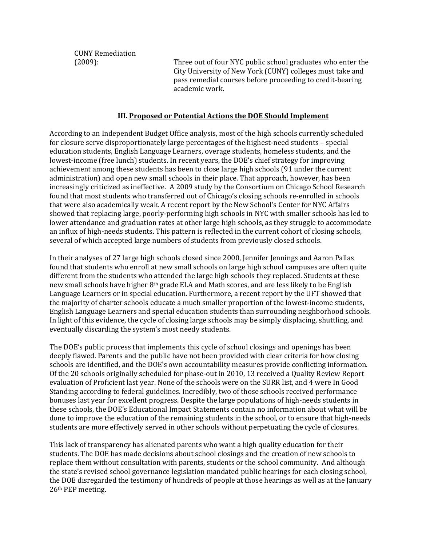CUNY Remediation

(2009): Three out of four NYC public school graduates who enter the City University of New York (CUNY) colleges must take and pass remedial courses before proceeding to credit‐bearing academic work.

#### **III. Proposed or Potential Actions the DOE Should Implement**

According to an Independent Budget Office analysis, most of the high schools currently scheduled for closure serve disproportionately large percentages of the highest-need students – special education students, English Language Learners, overage students, homeless students, and the lowest-income (free lunch) students. In recent years, the DOE's chief strategy for improving achievement among these students has been to close large high schools (91 under the current administration) and open new small schools in their place. That approach, however, has been increasingly criticized as ineffective. A 2009 study by the Consortium on Chicago School Research found that most students who transferred out of Chicago's closing schools re‐enrolled in schools that were also academically weak. A recent report by the New School's Center for NYC Affairs showed that replacing large, poorly‐performing high schools in NYC with smaller schools has led to lower attendance and graduation rates at other large high schools, as they struggle to accommodate an influx of high-needs students. This pattern is reflected in the current cohort of closing schools, several of which accepted large numbers of students from previously closed schools.

In their analyses of 27 large high schools closed since 2000, Jennifer Jennings and Aaron Pallas found that students who enroll at new small schools on large high school campuses are often quite different from the students who attended the large high schools they replaced. Students at these new small schools have higher 8th grade ELA and Math scores, and are less likely to be English Language Learners or in special education. Furthermore, a recent report by the UFT showed that the majority of charter schools educate a much smaller proportion of the lowest-income students, English Language Learners and special education students than surrounding neighborhood schools. In light of this evidence, the cycle of closing large schools may be simply displacing, shuttling, and eventually discarding the system's most needy students.

The DOE's public process that implements this cycle of school closings and openings has been deeply flawed. Parents and the public have not been provided with clear criteria for how closing schools are identified, and the DOE's own accountability measures provide conflicting information. Of the 20 schools originally scheduled for phase‐out in 2010, 13 received a Quality Review Report evaluation of Proficient last year. None of the schools were on the SURR list, and 4 were In Good Standing according to federal guidelines. Incredibly, two of those schools received performance bonuses last year for excellent progress. Despite the large populations of high-needs students in these schools, the DOE's Educational Impact Statements contain no information about what will be done to improve the education of the remaining students in the school, or to ensure that high-needs students are more effectively served in other schools without perpetuating the cycle of closures.

This lack of transparency has alienated parents who want a high quality education for their students. The DOE has made decisions about school closings and the creation of new schools to replace them without consultation with parents, students or the school community. And although the state's revised school governance legislation mandated public hearings for each closing school, the DOE disregarded the testimony of hundreds of people at those hearings as well as at the January 26th PEP meeting.